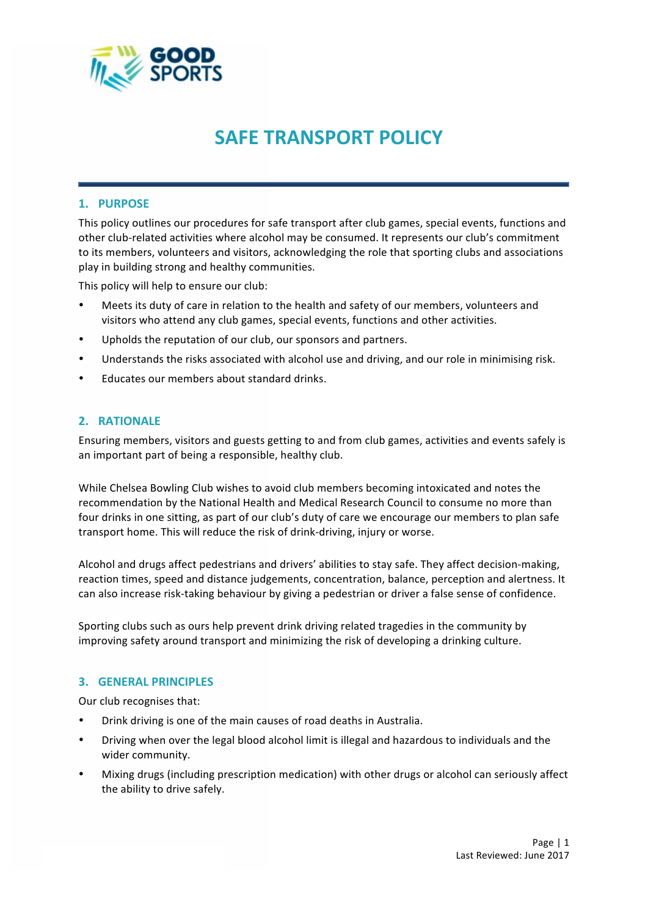

# **SAFE TRANSPORT POLICY**

### **1. PURPOSE**

This policy outlines our procedures for safe transport after club games, special events, functions and other club-related activities where alcohol may be consumed. It represents our club's commitment to its members, volunteers and visitors, acknowledging the role that sporting clubs and associations play in building strong and healthy communities.

This policy will help to ensure our club:

- Meets its duty of care in relation to the health and safety of our members, volunteers and visitors who attend any club games, special events, functions and other activities.
- Upholds the reputation of our club, our sponsors and partners.
- Understands the risks associated with alcohol use and driving, and our role in minimising risk.
- Educates our members about standard drinks.

### **2. RATIONALE**

Ensuring members, visitors and guests getting to and from club games, activities and events safely is an important part of being a responsible, healthy club.

While Chelsea Bowling Club wishes to avoid club members becoming intoxicated and notes the recommendation by the National Health and Medical Research Council to consume no more than four drinks in one sitting, as part of our club's duty of care we encourage our members to plan safe transport home. This will reduce the risk of drink-driving, injury or worse.

Alcohol and drugs affect pedestrians and drivers' abilities to stay safe. They affect decision-making, reaction times, speed and distance judgements, concentration, balance, perception and alertness. It can also increase risk-taking behaviour by giving a pedestrian or driver a false sense of confidence.

Sporting clubs such as ours help prevent drink driving related tragedies in the community by improving safety around transport and minimizing the risk of developing a drinking culture.

#### **3. GENERAL PRINCIPLES**

Our club recognises that:

- Drink driving is one of the main causes of road deaths in Australia.
- Driving when over the legal blood alcohol limit is illegal and hazardous to individuals and the wider community.
- Mixing drugs (including prescription medication) with other drugs or alcohol can seriously affect the ability to drive safely.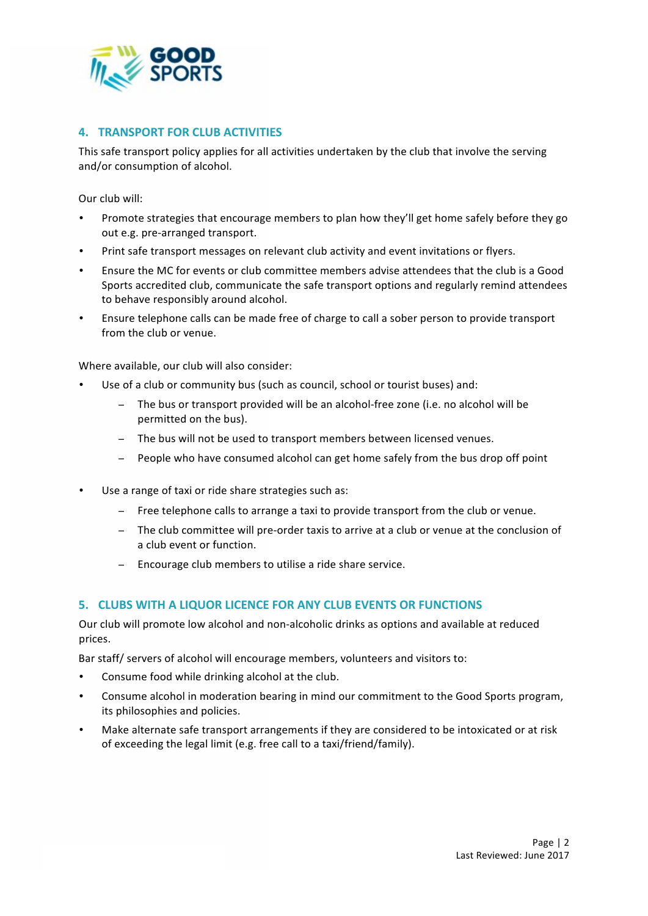

# **4. TRANSPORT FOR CLUB ACTIVITIES**

This safe transport policy applies for all activities undertaken by the club that involve the serving and/or consumption of alcohol.

Our club will:

- Promote strategies that encourage members to plan how they'll get home safely before they go out e.g. pre-arranged transport.
- Print safe transport messages on relevant club activity and event invitations or flyers.
- Ensure the MC for events or club committee members advise attendees that the club is a Good Sports accredited club, communicate the safe transport options and regularly remind attendees to behave responsibly around alcohol.
- Ensure telephone calls can be made free of charge to call a sober person to provide transport from the club or venue.

Where available, our club will also consider:

- Use of a club or community bus (such as council, school or tourist buses) and:
	- The bus or transport provided will be an alcohol-free zone (i.e. no alcohol will be permitted on the bus).
	- − The bus will not be used to transport members between licensed venues.
	- People who have consumed alcohol can get home safely from the bus drop off point
- Use a range of taxi or ride share strategies such as:
	- − Free telephone calls to arrange a taxi to provide transport from the club or venue.
	- − The club committee will pre-order taxis to arrive at a club or venue at the conclusion of a club event or function.
	- − Encourage club members to utilise a ride share service.

## **5. CLUBS WITH A LIQUOR LICENCE FOR ANY CLUB EVENTS OR FUNCTIONS**

Our club will promote low alcohol and non-alcoholic drinks as options and available at reduced prices.

Bar staff/ servers of alcohol will encourage members, volunteers and visitors to:

- Consume food while drinking alcohol at the club.
- Consume alcohol in moderation bearing in mind our commitment to the Good Sports program, its philosophies and policies.
- Make alternate safe transport arrangements if they are considered to be intoxicated or at risk of exceeding the legal limit (e.g. free call to a taxi/friend/family).